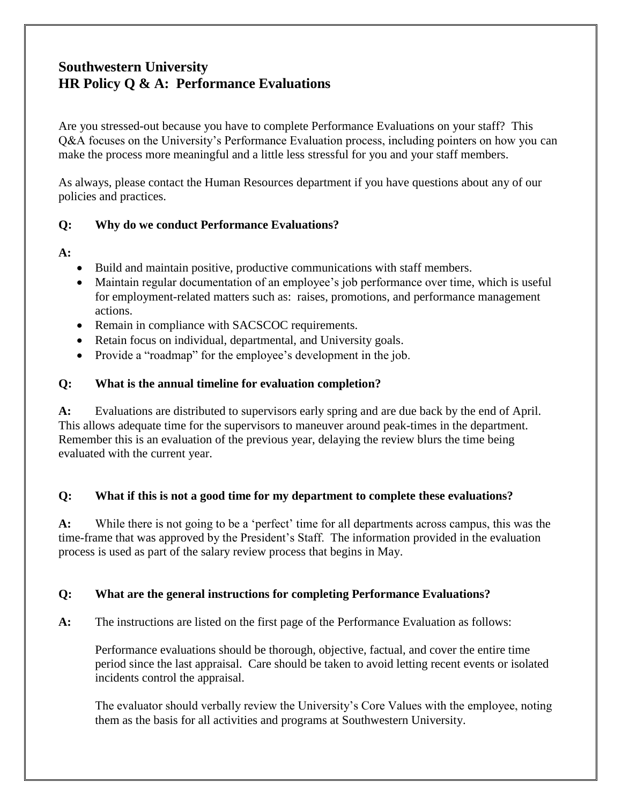# **Southwestern University HR Policy Q & A: Performance Evaluations**

Are you stressed-out because you have to complete Performance Evaluations on your staff? This Q&A focuses on the University's Performance Evaluation process, including pointers on how you can make the process more meaningful and a little less stressful for you and your staff members.

As always, please contact the Human Resources department if you have questions about any of our policies and practices.

### **Q: Why do we conduct Performance Evaluations?**

#### **A:**

- Build and maintain positive, productive communications with staff members.
- Maintain regular documentation of an employee's job performance over time, which is useful for employment-related matters such as: raises, promotions, and performance management actions.
- Remain in compliance with SACSCOC requirements.
- Retain focus on individual, departmental, and University goals.
- Provide a "roadmap" for the employee's development in the job.

### **Q: What is the annual timeline for evaluation completion?**

**A:** Evaluations are distributed to supervisors early spring and are due back by the end of April. This allows adequate time for the supervisors to maneuver around peak-times in the department. Remember this is an evaluation of the previous year, delaying the review blurs the time being evaluated with the current year.

### **Q: What if this is not a good time for my department to complete these evaluations?**

**A:** While there is not going to be a 'perfect' time for all departments across campus, this was the time-frame that was approved by the President's Staff. The information provided in the evaluation process is used as part of the salary review process that begins in May.

### **Q: What are the general instructions for completing Performance Evaluations?**

**A:** The instructions are listed on the first page of the Performance Evaluation as follows:

Performance evaluations should be thorough, objective, factual, and cover the entire time period since the last appraisal. Care should be taken to avoid letting recent events or isolated incidents control the appraisal.

The evaluator should verbally review the University's Core Values with the employee, noting them as the basis for all activities and programs at Southwestern University.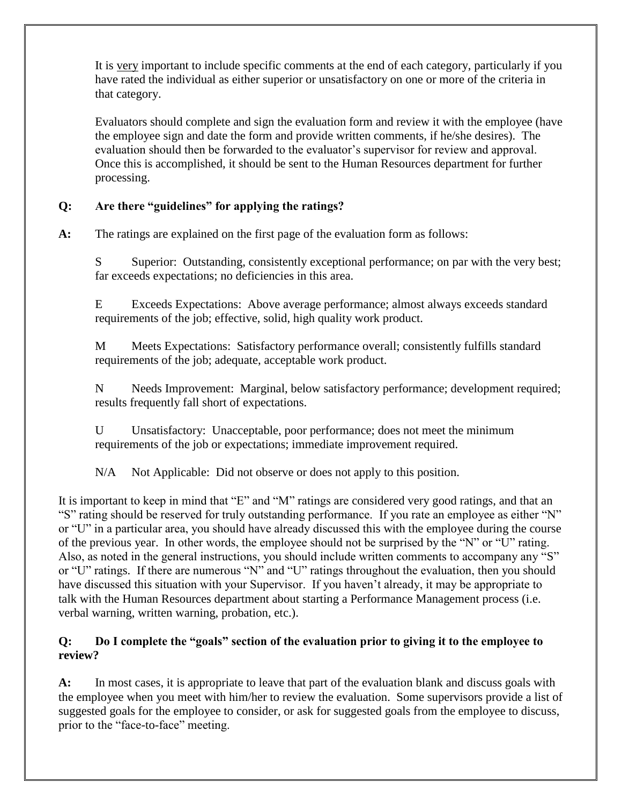It is very important to include specific comments at the end of each category, particularly if you have rated the individual as either superior or unsatisfactory on one or more of the criteria in that category.

Evaluators should complete and sign the evaluation form and review it with the employee (have the employee sign and date the form and provide written comments, if he/she desires). The evaluation should then be forwarded to the evaluator's supervisor for review and approval. Once this is accomplished, it should be sent to the Human Resources department for further processing.

# **Q: Are there "guidelines" for applying the ratings?**

**A:** The ratings are explained on the first page of the evaluation form as follows:

S Superior: Outstanding, consistently exceptional performance; on par with the very best; far exceeds expectations; no deficiencies in this area.

E Exceeds Expectations: Above average performance; almost always exceeds standard requirements of the job; effective, solid, high quality work product.

M Meets Expectations: Satisfactory performance overall; consistently fulfills standard requirements of the job; adequate, acceptable work product.

N Needs Improvement: Marginal, below satisfactory performance; development required; results frequently fall short of expectations.

U Unsatisfactory: Unacceptable, poor performance; does not meet the minimum requirements of the job or expectations; immediate improvement required.

N/A Not Applicable: Did not observe or does not apply to this position.

It is important to keep in mind that "E" and "M" ratings are considered very good ratings, and that an "S" rating should be reserved for truly outstanding performance. If you rate an employee as either "N" or "U" in a particular area, you should have already discussed this with the employee during the course of the previous year. In other words, the employee should not be surprised by the "N" or "U" rating. Also, as noted in the general instructions, you should include written comments to accompany any "S" or "U" ratings. If there are numerous "N" and "U" ratings throughout the evaluation, then you should have discussed this situation with your Supervisor. If you haven't already, it may be appropriate to talk with the Human Resources department about starting a Performance Management process (i.e. verbal warning, written warning, probation, etc.).

# **Q: Do I complete the "goals" section of the evaluation prior to giving it to the employee to review?**

**A:** In most cases, it is appropriate to leave that part of the evaluation blank and discuss goals with the employee when you meet with him/her to review the evaluation. Some supervisors provide a list of suggested goals for the employee to consider, or ask for suggested goals from the employee to discuss, prior to the "face-to-face" meeting.